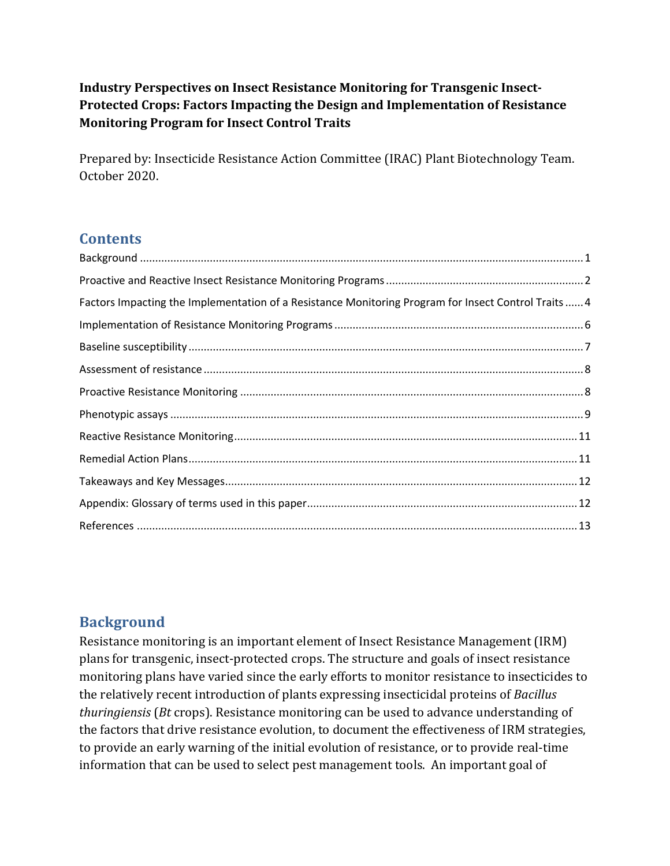**Industry Perspectives on Insect Resistance Monitoring for Transgenic Insect-Protected Crops: Factors Impacting the Design and Implementation of Resistance Monitoring Program for Insect Control Traits** 

Prepared by: Insecticide Resistance Action Committee (IRAC) Plant Biotechnology Team. October 2020.

## **Contents**

| Factors Impacting the Implementation of a Resistance Monitoring Program for Insect Control Traits  4 |  |
|------------------------------------------------------------------------------------------------------|--|
|                                                                                                      |  |
|                                                                                                      |  |
|                                                                                                      |  |
|                                                                                                      |  |
|                                                                                                      |  |
|                                                                                                      |  |
|                                                                                                      |  |
|                                                                                                      |  |
|                                                                                                      |  |
|                                                                                                      |  |

## **Background**

Resistance monitoring is an important element of Insect Resistance Management (IRM) plans for transgenic, insect-protected crops. The structure and goals of insect resistance monitoring plans have varied since the early efforts to monitor resistance to insecticides to the relatively recent introduction of plants expressing insecticidal proteins of *Bacillus thuringiensis* (*Bt* crops). Resistance monitoring can be used to advance understanding of the factors that drive resistance evolution, to document the effectiveness of IRM strategies, to provide an early warning of the initial evolution of resistance, or to provide real-time information that can be used to select pest management tools. An important goal of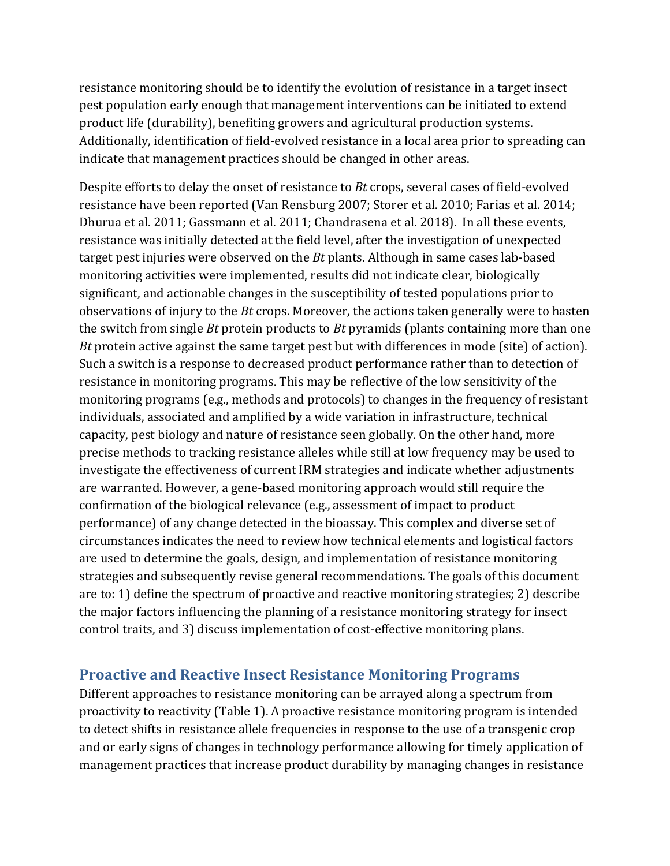resistance monitoring should be to identify the evolution of resistance in a target insect pest population early enough that management interventions can be initiated to extend product life (durability), benefiting growers and agricultural production systems. Additionally, identification of field-evolved resistance in a local area prior to spreading can indicate that management practices should be changed in other areas.

Despite efforts to delay the onset of resistance to *Bt* crops, several cases of field-evolved resistance have been reported (Van Rensburg 2007; Storer et al. 2010; Farias et al. 2014; Dhurua et al. 2011; Gassmann et al. 2011; Chandrasena et al. 2018). In all these events, resistance was initially detected at the field level, after the investigation of unexpected target pest injuries were observed on the *Bt* plants. Although in same cases lab-based monitoring activities were implemented, results did not indicate clear, biologically significant, and actionable changes in the susceptibility of tested populations prior to observations of injury to the *Bt* crops. Moreover, the actions taken generally were to hasten the switch from single *Bt* protein products to *Bt* pyramids (plants containing more than one *Bt* protein active against the same target pest but with differences in mode (site) of action). Such a switch is a response to decreased product performance rather than to detection of resistance in monitoring programs. This may be reflective of the low sensitivity of the monitoring programs (e.g., methods and protocols) to changes in the frequency of resistant individuals, associated and amplified by a wide variation in infrastructure, technical capacity, pest biology and nature of resistance seen globally. On the other hand, more precise methods to tracking resistance alleles while still at low frequency may be used to investigate the effectiveness of current IRM strategies and indicate whether adjustments are warranted. However, a gene-based monitoring approach would still require the confirmation of the biological relevance (e.g., assessment of impact to product performance) of any change detected in the bioassay. This complex and diverse set of circumstances indicates the need to review how technical elements and logistical factors are used to determine the goals, design, and implementation of resistance monitoring strategies and subsequently revise general recommendations. The goals of this document are to: 1) define the spectrum of proactive and reactive monitoring strategies; 2) describe the major factors influencing the planning of a resistance monitoring strategy for insect control traits, and 3) discuss implementation of cost-effective monitoring plans.

### **Proactive and Reactive Insect Resistance Monitoring Programs**

Different approaches to resistance monitoring can be arrayed along a spectrum from proactivity to reactivity (Table 1). A proactive resistance monitoring program is intended to detect shifts in resistance allele frequencies in response to the use of a transgenic crop and or early signs of changes in technology performance allowing for timely application of management practices that increase product durability by managing changes in resistance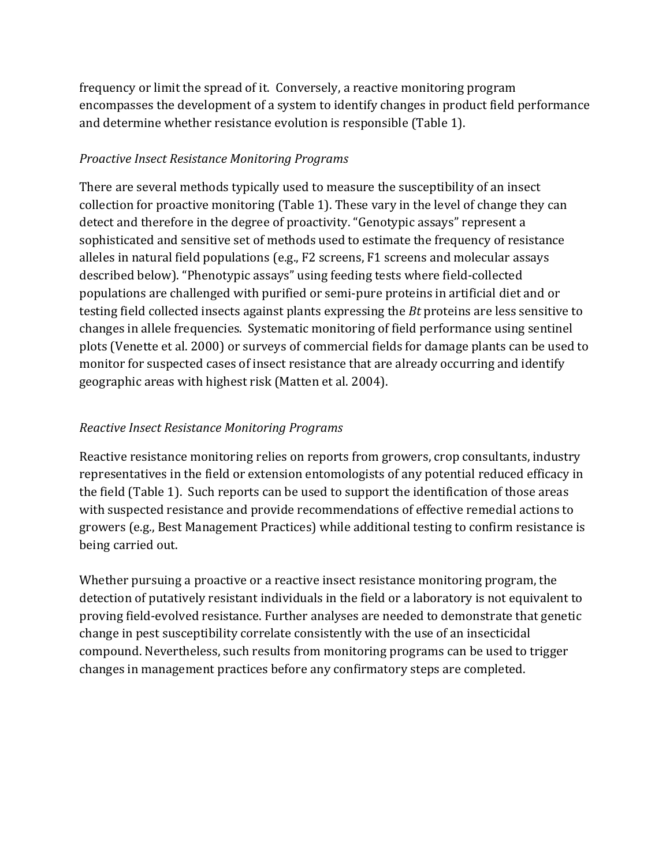frequency or limit the spread of it. Conversely, a reactive monitoring program encompasses the development of a system to identify changes in product field performance and determine whether resistance evolution is responsible (Table 1).

### **Proactive Insect Resistance Monitoring Programs**

There are several methods typically used to measure the susceptibility of an insect collection for proactive monitoring (Table 1). These vary in the level of change they can detect and therefore in the degree of proactivity. "Genotypic assays" represent a sophisticated and sensitive set of methods used to estimate the frequency of resistance alleles in natural field populations (e.g., F2 screens, F1 screens and molecular assays described below). "Phenotypic assays" using feeding tests where field-collected populations are challenged with purified or semi-pure proteins in artificial diet and or testing field collected insects against plants expressing the *Bt* proteins are less sensitive to changes in allele frequencies. Systematic monitoring of field performance using sentinel plots (Venette et al. 2000) or surveys of commercial fields for damage plants can be used to monitor for suspected cases of insect resistance that are already occurring and identify geographic areas with highest risk (Matten et al. 2004).

### *Reactive Insect Resistance Monitoring Programs*

Reactive resistance monitoring relies on reports from growers, crop consultants, industry representatives in the field or extension entomologists of any potential reduced efficacy in the field (Table 1). Such reports can be used to support the identification of those areas with suspected resistance and provide recommendations of effective remedial actions to growers (e.g., Best Management Practices) while additional testing to confirm resistance is being carried out.

Whether pursuing a proactive or a reactive insect resistance monitoring program, the detection of putatively resistant individuals in the field or a laboratory is not equivalent to proving field-evolved resistance. Further analyses are needed to demonstrate that genetic change in pest susceptibility correlate consistently with the use of an insecticidal compound. Nevertheless, such results from monitoring programs can be used to trigger changes in management practices before any confirmatory steps are completed.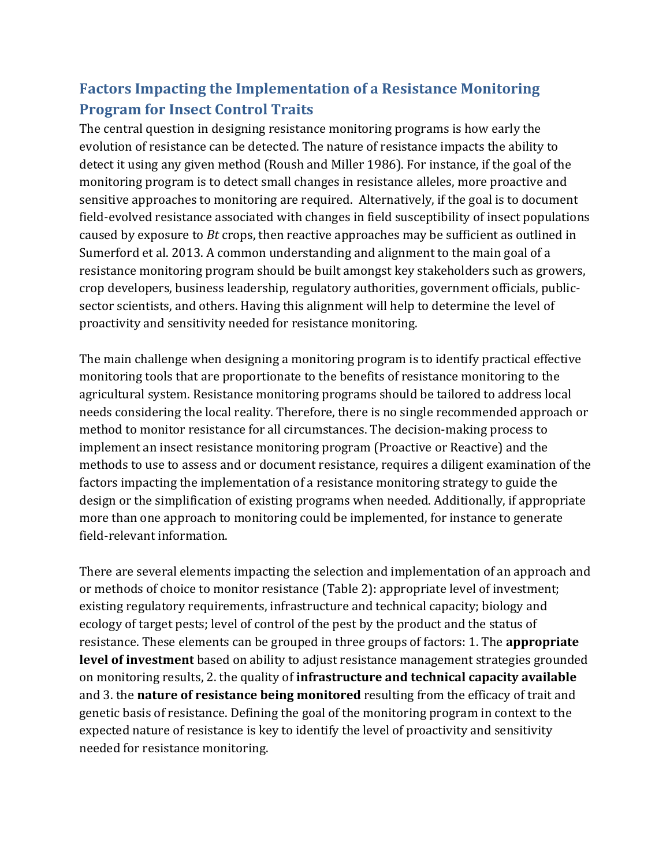# **Factors Impacting the Implementation of a Resistance Monitoring Program for Insect Control Traits**

The central question in designing resistance monitoring programs is how early the evolution of resistance can be detected. The nature of resistance impacts the ability to detect it using any given method (Roush and Miller 1986). For instance, if the goal of the monitoring program is to detect small changes in resistance alleles, more proactive and sensitive approaches to monitoring are required. Alternatively, if the goal is to document field-evolved resistance associated with changes in field susceptibility of insect populations caused by exposure to *Bt* crops, then reactive approaches may be sufficient as outlined in Sumerford et al. 2013. A common understanding and alignment to the main goal of a resistance monitoring program should be built amongst key stakeholders such as growers, crop developers, business leadership, regulatory authorities, government officials, publicsector scientists, and others. Having this alignment will help to determine the level of proactivity and sensitivity needed for resistance monitoring.

The main challenge when designing a monitoring program is to identify practical effective monitoring tools that are proportionate to the benefits of resistance monitoring to the agricultural system. Resistance monitoring programs should be tailored to address local needs considering the local reality. Therefore, there is no single recommended approach or method to monitor resistance for all circumstances. The decision-making process to implement an insect resistance monitoring program (Proactive or Reactive) and the methods to use to assess and or document resistance, requires a diligent examination of the factors impacting the implementation of a resistance monitoring strategy to guide the design or the simplification of existing programs when needed. Additionally, if appropriate more than one approach to monitoring could be implemented, for instance to generate field-relevant information.

There are several elements impacting the selection and implementation of an approach and or methods of choice to monitor resistance (Table 2): appropriate level of investment; existing regulatory requirements, infrastructure and technical capacity; biology and ecology of target pests; level of control of the pest by the product and the status of resistance. These elements can be grouped in three groups of factors: 1. The **appropriate level of investment** based on ability to adjust resistance management strategies grounded on monitoring results, 2. the quality of **infrastructure and technical capacity available** and 3. the **nature of resistance being monitored** resulting from the efficacy of trait and genetic basis of resistance. Defining the goal of the monitoring program in context to the expected nature of resistance is key to identify the level of proactivity and sensitivity needed for resistance monitoring.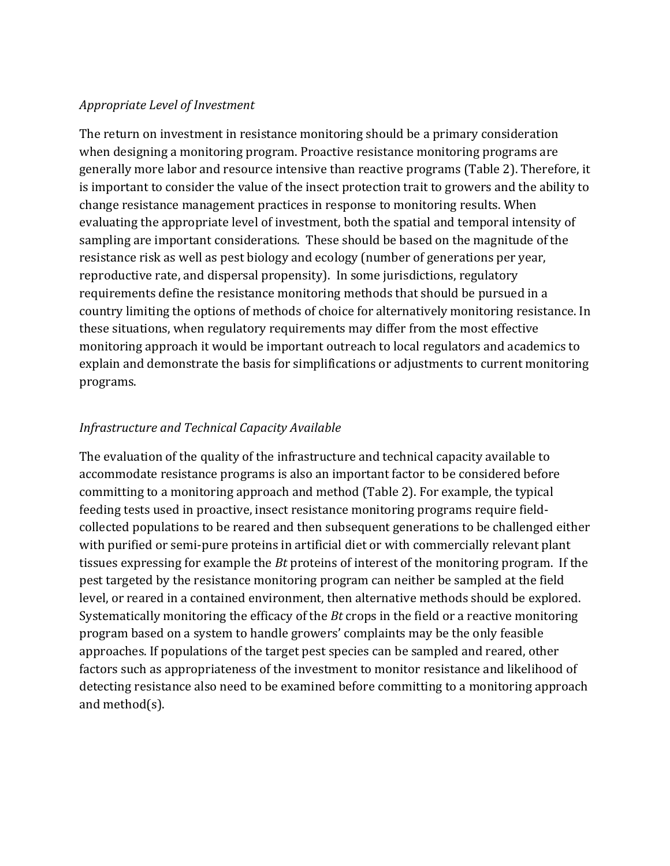#### *Appropriate Level of Investment*

The return on investment in resistance monitoring should be a primary consideration when designing a monitoring program. Proactive resistance monitoring programs are generally more labor and resource intensive than reactive programs (Table 2). Therefore, it is important to consider the value of the insect protection trait to growers and the ability to change resistance management practices in response to monitoring results. When evaluating the appropriate level of investment, both the spatial and temporal intensity of sampling are important considerations. These should be based on the magnitude of the resistance risk as well as pest biology and ecology (number of generations per year, reproductive rate, and dispersal propensity). In some jurisdictions, regulatory requirements define the resistance monitoring methods that should be pursued in a country limiting the options of methods of choice for alternatively monitoring resistance. In these situations, when regulatory requirements may differ from the most effective monitoring approach it would be important outreach to local regulators and academics to explain and demonstrate the basis for simplifications or adjustments to current monitoring programs.

### *Infrastructure and Technical Capacity Available*

The evaluation of the quality of the infrastructure and technical capacity available to accommodate resistance programs is also an important factor to be considered before committing to a monitoring approach and method (Table 2). For example, the typical feeding tests used in proactive, insect resistance monitoring programs require fieldcollected populations to be reared and then subsequent generations to be challenged either with purified or semi-pure proteins in artificial diet or with commercially relevant plant tissues expressing for example the *Bt* proteins of interest of the monitoring program. If the pest targeted by the resistance monitoring program can neither be sampled at the field level, or reared in a contained environment, then alternative methods should be explored. Systematically monitoring the efficacy of the *Bt* crops in the field or a reactive monitoring program based on a system to handle growers' complaints may be the only feasible approaches. If populations of the target pest species can be sampled and reared, other factors such as appropriateness of the investment to monitor resistance and likelihood of detecting resistance also need to be examined before committing to a monitoring approach and method $(s)$ .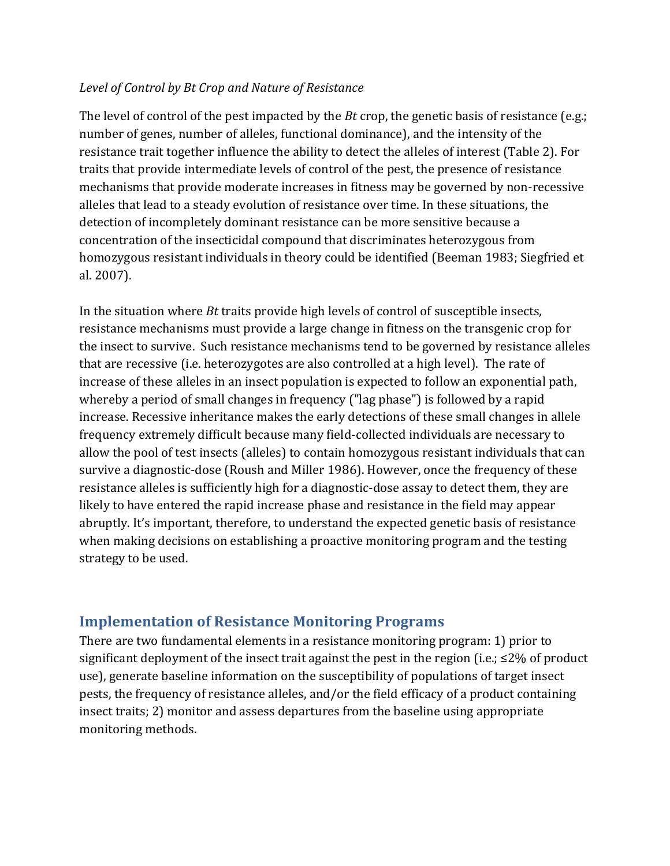#### Level of *Control by Bt Crop* and Nature of Resistance

The level of control of the pest impacted by the *Bt* crop, the genetic basis of resistance  $(e.g.,$ number of genes, number of alleles, functional dominance), and the intensity of the resistance trait together influence the ability to detect the alleles of interest (Table 2). For traits that provide intermediate levels of control of the pest, the presence of resistance mechanisms that provide moderate increases in fitness may be governed by non-recessive alleles that lead to a steady evolution of resistance over time. In these situations, the detection of incompletely dominant resistance can be more sensitive because a concentration of the insecticidal compound that discriminates heterozygous from homozygous resistant individuals in theory could be identified (Beeman 1983; Siegfried et al. 2007). 

In the situation where *Bt* traits provide high levels of control of susceptible insects, resistance mechanisms must provide a large change in fitness on the transgenic crop for the insect to survive. Such resistance mechanisms tend to be governed by resistance alleles that are recessive (i.e. heterozygotes are also controlled at a high level). The rate of increase of these alleles in an insect population is expected to follow an exponential path, whereby a period of small changes in frequency ("lag phase") is followed by a rapid increase. Recessive inheritance makes the early detections of these small changes in allele frequency extremely difficult because many field-collected individuals are necessary to allow the pool of test insects (alleles) to contain homozygous resistant individuals that can survive a diagnostic-dose (Roush and Miller 1986). However, once the frequency of these resistance alleles is sufficiently high for a diagnostic-dose assay to detect them, they are likely to have entered the rapid increase phase and resistance in the field may appear abruptly. It's important, therefore, to understand the expected genetic basis of resistance when making decisions on establishing a proactive monitoring program and the testing strategy to be used.

## **Implementation of Resistance Monitoring Programs**

There are two fundamental elements in a resistance monitoring program: 1) prior to significant deployment of the insect trait against the pest in the region (i.e.;  $\leq 2\%$  of product use), generate baseline information on the susceptibility of populations of target insect pests, the frequency of resistance alleles, and/or the field efficacy of a product containing insect traits; 2) monitor and assess departures from the baseline using appropriate monitoring methods.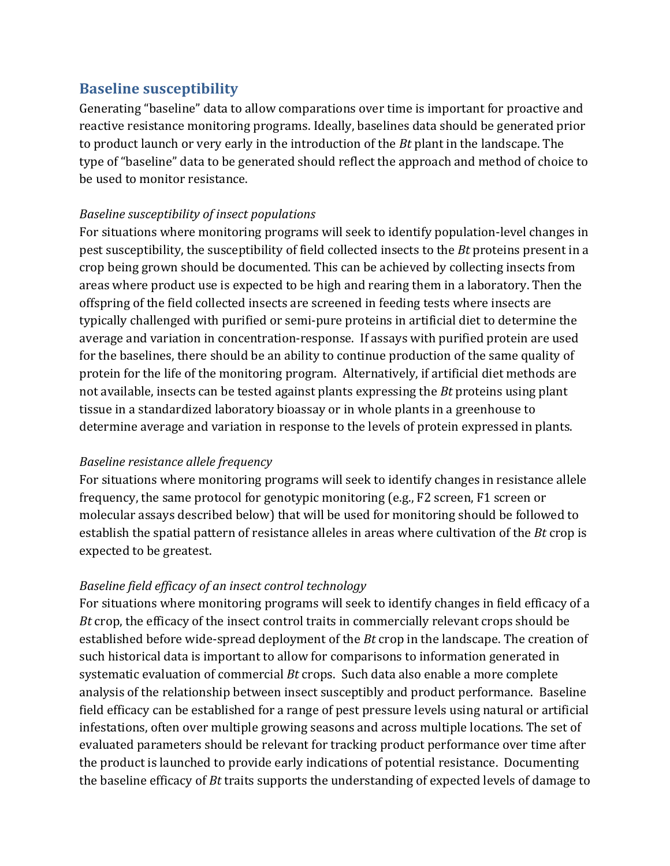## **Baseline susceptibility**

Generating "baseline" data to allow comparations over time is important for proactive and reactive resistance monitoring programs. Ideally, baselines data should be generated prior to product launch or very early in the introduction of the *Bt* plant in the landscape. The type of "baseline" data to be generated should reflect the approach and method of choice to be used to monitor resistance.

### *Baseline susceptibility of insect populations*

For situations where monitoring programs will seek to identify population-level changes in pest susceptibility, the susceptibility of field collected insects to the *Bt* proteins present in a crop being grown should be documented. This can be achieved by collecting insects from areas where product use is expected to be high and rearing them in a laboratory. Then the offspring of the field collected insects are screened in feeding tests where insects are typically challenged with purified or semi-pure proteins in artificial diet to determine the average and variation in concentration-response. If assays with purified protein are used for the baselines, there should be an ability to continue production of the same quality of protein for the life of the monitoring program. Alternatively, if artificial diet methods are not available, insects can be tested against plants expressing the *Bt* proteins using plant tissue in a standardized laboratory bioassay or in whole plants in a greenhouse to determine average and variation in response to the levels of protein expressed in plants.

#### *Baseline resistance allele frequency*

For situations where monitoring programs will seek to identify changes in resistance allele frequency, the same protocol for genotypic monitoring  $(e.g., F2 \text{ screen}, F1 \text{ screen})$  or molecular assays described below) that will be used for monitoring should be followed to establish the spatial pattern of resistance alleles in areas where cultivation of the *Bt* crop is expected to be greatest.

### *Baseline field efficacy of an insect control technology*

For situations where monitoring programs will seek to identify changes in field efficacy of a *Bt* crop, the efficacy of the insect control traits in commercially relevant crops should be established before wide-spread deployment of the *Bt* crop in the landscape. The creation of such historical data is important to allow for comparisons to information generated in systematic evaluation of commercial *Bt* crops. Such data also enable a more complete analysis of the relationship between insect susceptibly and product performance. Baseline field efficacy can be established for a range of pest pressure levels using natural or artificial infestations, often over multiple growing seasons and across multiple locations. The set of evaluated parameters should be relevant for tracking product performance over time after the product is launched to provide early indications of potential resistance. Documenting the baseline efficacy of *Bt* traits supports the understanding of expected levels of damage to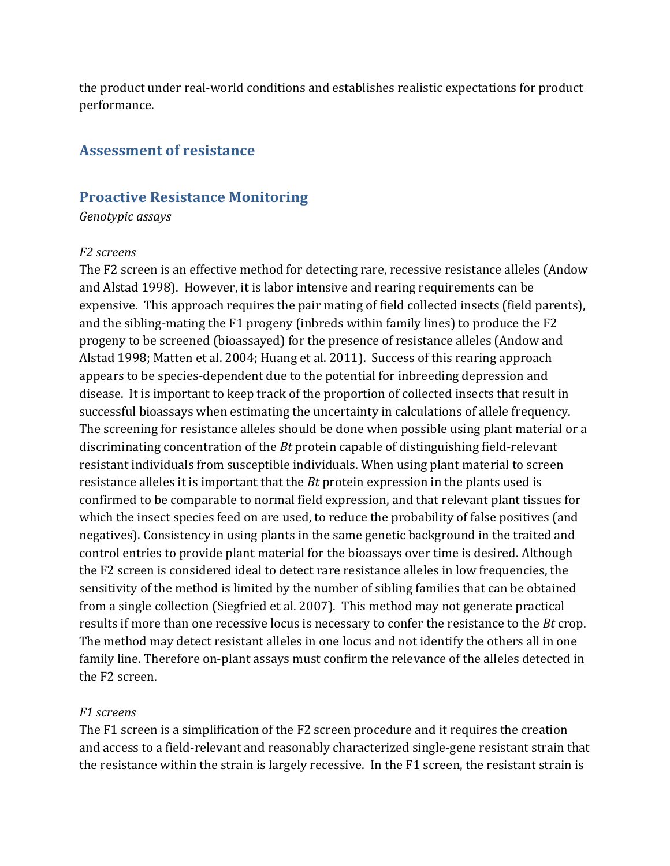the product under real-world conditions and establishes realistic expectations for product performance. 

#### **Assessment of resistance**

#### **Proactive Resistance Monitoring**

*Genotypic assays*

#### *F2 screens*

The F2 screen is an effective method for detecting rare, recessive resistance alleles (Andow and Alstad 1998). However, it is labor intensive and rearing requirements can be expensive. This approach requires the pair mating of field collected insects (field parents), and the sibling-mating the F1 progeny (inbreds within family lines) to produce the F2 progeny to be screened (bioassayed) for the presence of resistance alleles (Andow and Alstad 1998; Matten et al. 2004; Huang et al. 2011). Success of this rearing approach appears to be species-dependent due to the potential for inbreeding depression and disease. It is important to keep track of the proportion of collected insects that result in successful bioassays when estimating the uncertainty in calculations of allele frequency. The screening for resistance alleles should be done when possible using plant material or a discriminating concentration of the *Bt* protein capable of distinguishing field-relevant resistant individuals from susceptible individuals. When using plant material to screen resistance alleles it is important that the *Bt* protein expression in the plants used is confirmed to be comparable to normal field expression, and that relevant plant tissues for which the insect species feed on are used, to reduce the probability of false positives (and negatives). Consistency in using plants in the same genetic background in the traited and control entries to provide plant material for the bioassays over time is desired. Although the F2 screen is considered ideal to detect rare resistance alleles in low frequencies, the sensitivity of the method is limited by the number of sibling families that can be obtained from a single collection (Siegfried et al. 2007). This method may not generate practical results if more than one recessive locus is necessary to confer the resistance to the *Bt* crop. The method may detect resistant alleles in one locus and not identify the others all in one family line. Therefore on-plant assays must confirm the relevance of the alleles detected in the F2 screen.

#### *F1 screens*

The F1 screen is a simplification of the F2 screen procedure and it requires the creation and access to a field-relevant and reasonably characterized single-gene resistant strain that the resistance within the strain is largely recessive. In the F1 screen, the resistant strain is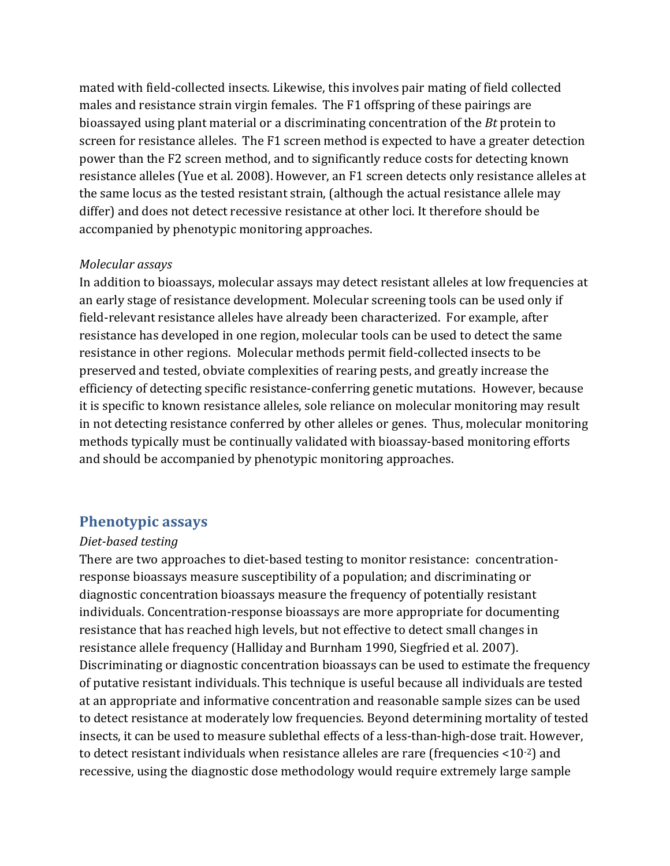mated with field-collected insects. Likewise, this involves pair mating of field collected males and resistance strain virgin females. The F1 offspring of these pairings are bioassayed using plant material or a discriminating concentration of the *Bt* protein to screen for resistance alleles. The F1 screen method is expected to have a greater detection power than the F2 screen method, and to significantly reduce costs for detecting known resistance alleles (Yue et al. 2008). However, an F1 screen detects only resistance alleles at the same locus as the tested resistant strain, (although the actual resistance allele may differ) and does not detect recessive resistance at other loci. It therefore should be accompanied by phenotypic monitoring approaches.

#### *Molecular assays*

In addition to bioassays, molecular assays may detect resistant alleles at low frequencies at an early stage of resistance development. Molecular screening tools can be used only if field-relevant resistance alleles have already been characterized. For example, after resistance has developed in one region, molecular tools can be used to detect the same resistance in other regions. Molecular methods permit field-collected insects to be preserved and tested, obviate complexities of rearing pests, and greatly increase the efficiency of detecting specific resistance-conferring genetic mutations. However, because it is specific to known resistance alleles, sole reliance on molecular monitoring may result in not detecting resistance conferred by other alleles or genes. Thus, molecular monitoring methods typically must be continually validated with bioassay-based monitoring efforts and should be accompanied by phenotypic monitoring approaches.

#### **Phenotypic assays**

#### *Diet-based testing*

There are two approaches to diet-based testing to monitor resistance: concentrationresponse bioassays measure susceptibility of a population; and discriminating or diagnostic concentration bioassays measure the frequency of potentially resistant individuals. Concentration-response bioassays are more appropriate for documenting resistance that has reached high levels, but not effective to detect small changes in resistance allele frequency (Halliday and Burnham 1990, Siegfried et al. 2007). Discriminating or diagnostic concentration bioassays can be used to estimate the frequency of putative resistant individuals. This technique is useful because all individuals are tested at an appropriate and informative concentration and reasonable sample sizes can be used to detect resistance at moderately low frequencies. Beyond determining mortality of tested insects, it can be used to measure sublethal effects of a less-than-high-dose trait. However, to detect resistant individuals when resistance alleles are rare (frequencies  $\langle 10^{-2} \rangle$  and recessive, using the diagnostic dose methodology would require extremely large sample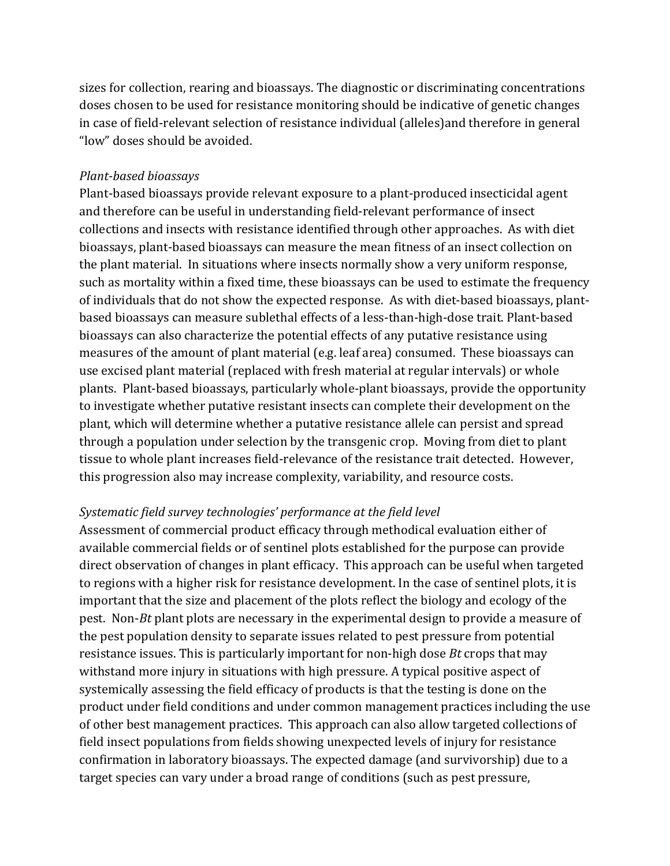sizes for collection, rearing and bioassays. The diagnostic or discriminating concentrations doses chosen to be used for resistance monitoring should be indicative of genetic changes in case of field-relevant selection of resistance individual (alleles) and therefore in general "low" doses should be avoided.

#### *Plant-based bioassays*

Plant-based bioassays provide relevant exposure to a plant-produced insecticidal agent and therefore can be useful in understanding field-relevant performance of insect collections and insects with resistance identified through other approaches. As with diet bioassays, plant-based bioassays can measure the mean fitness of an insect collection on the plant material. In situations where insects normally show a very uniform response, such as mortality within a fixed time, these bioassays can be used to estimate the frequency of individuals that do not show the expected response. As with diet-based bioassays, plantbased bioassays can measure sublethal effects of a less-than-high-dose trait. Plant-based bioassays can also characterize the potential effects of any putative resistance using measures of the amount of plant material (e.g. leaf area) consumed. These bioassays can use excised plant material (replaced with fresh material at regular intervals) or whole plants. Plant-based bioassays, particularly whole-plant bioassays, provide the opportunity to investigate whether putative resistant insects can complete their development on the plant, which will determine whether a putative resistance allele can persist and spread through a population under selection by the transgenic crop. Moving from diet to plant tissue to whole plant increases field-relevance of the resistance trait detected. However, this progression also may increase complexity, variability, and resource costs.

#### *Systematic field survey technologies' performance at the field level*

Assessment of commercial product efficacy through methodical evaluation either of available commercial fields or of sentinel plots established for the purpose can provide direct observation of changes in plant efficacy. This approach can be useful when targeted to regions with a higher risk for resistance development. In the case of sentinel plots, it is important that the size and placement of the plots reflect the biology and ecology of the pest. Non-*Bt* plant plots are necessary in the experimental design to provide a measure of the pest population density to separate issues related to pest pressure from potential resistance issues. This is particularly important for non-high dose *Bt* crops that may withstand more injury in situations with high pressure. A typical positive aspect of systemically assessing the field efficacy of products is that the testing is done on the product under field conditions and under common management practices including the use of other best management practices. This approach can also allow targeted collections of field insect populations from fields showing unexpected levels of injury for resistance confirmation in laboratory bioassays. The expected damage (and survivorship) due to a target species can vary under a broad range of conditions (such as pest pressure,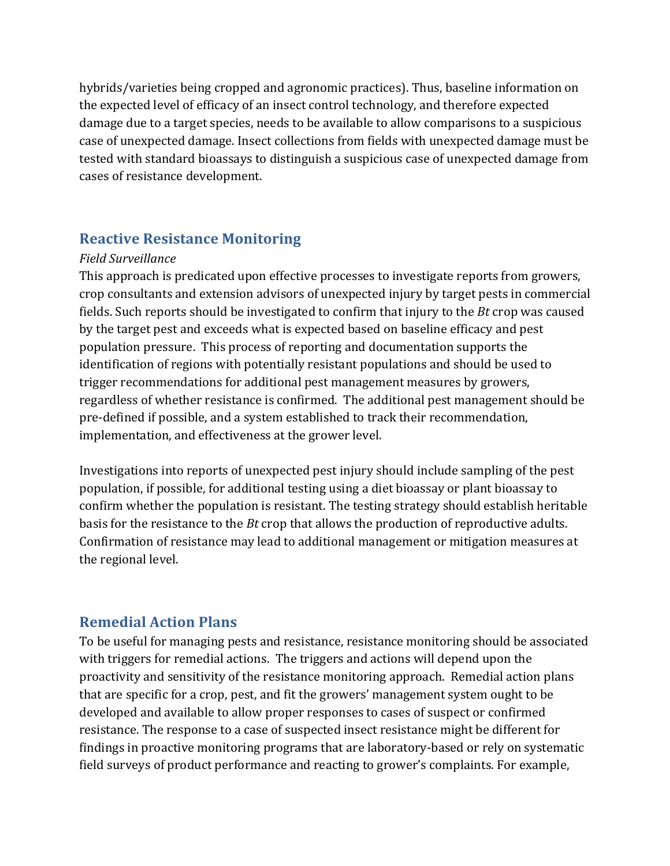hybrids/varieties being cropped and agronomic practices). Thus, baseline information on the expected level of efficacy of an insect control technology, and therefore expected damage due to a target species, needs to be available to allow comparisons to a suspicious case of unexpected damage. Insect collections from fields with unexpected damage must be tested with standard bioassays to distinguish a suspicious case of unexpected damage from cases of resistance development.

### **Reactive Resistance Monitoring**

#### *Field Surveillance*

This approach is predicated upon effective processes to investigate reports from growers, crop consultants and extension advisors of unexpected injury by target pests in commercial fields. Such reports should be investigated to confirm that injury to the *Bt* crop was caused by the target pest and exceeds what is expected based on baseline efficacy and pest population pressure. This process of reporting and documentation supports the identification of regions with potentially resistant populations and should be used to trigger recommendations for additional pest management measures by growers, regardless of whether resistance is confirmed. The additional pest management should be pre-defined if possible, and a system established to track their recommendation, implementation, and effectiveness at the grower level.

Investigations into reports of unexpected pest injury should include sampling of the pest population, if possible, for additional testing using a diet bioassay or plant bioassay to confirm whether the population is resistant. The testing strategy should establish heritable basis for the resistance to the *Bt* crop that allows the production of reproductive adults. Confirmation of resistance may lead to additional management or mitigation measures at the regional level.

### **Remedial Action Plans**

To be useful for managing pests and resistance, resistance monitoring should be associated with triggers for remedial actions. The triggers and actions will depend upon the proactivity and sensitivity of the resistance monitoring approach. Remedial action plans that are specific for a crop, pest, and fit the growers' management system ought to be developed and available to allow proper responses to cases of suspect or confirmed resistance. The response to a case of suspected insect resistance might be different for findings in proactive monitoring programs that are laboratory-based or rely on systematic field surveys of product performance and reacting to grower's complaints. For example,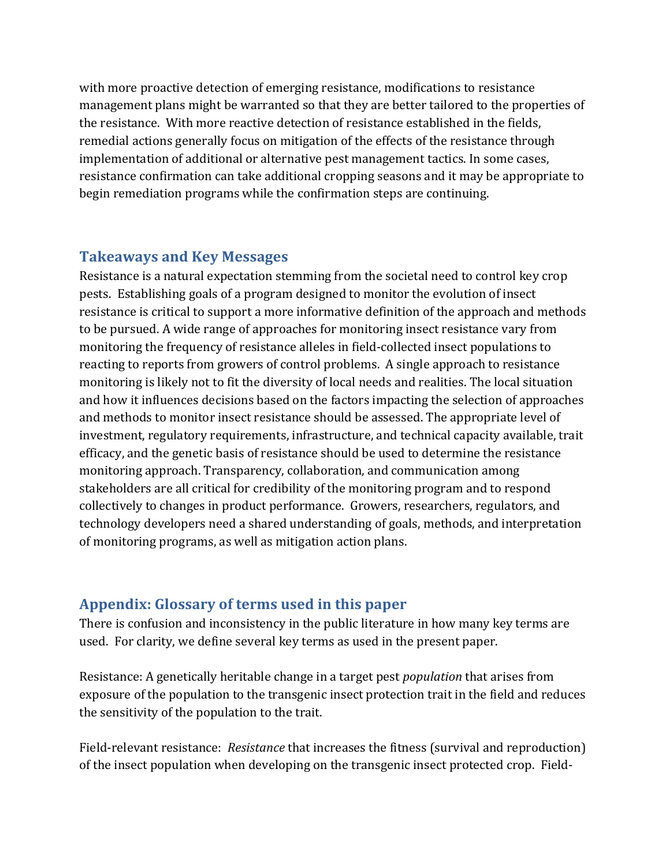with more proactive detection of emerging resistance, modifications to resistance management plans might be warranted so that they are better tailored to the properties of the resistance. With more reactive detection of resistance established in the fields, remedial actions generally focus on mitigation of the effects of the resistance through implementation of additional or alternative pest management tactics. In some cases, resistance confirmation can take additional cropping seasons and it may be appropriate to begin remediation programs while the confirmation steps are continuing.

### **Takeaways and Key Messages**

Resistance is a natural expectation stemming from the societal need to control key crop pests. Establishing goals of a program designed to monitor the evolution of insect resistance is critical to support a more informative definition of the approach and methods to be pursued. A wide range of approaches for monitoring insect resistance vary from monitoring the frequency of resistance alleles in field-collected insect populations to reacting to reports from growers of control problems. A single approach to resistance monitoring is likely not to fit the diversity of local needs and realities. The local situation and how it influences decisions based on the factors impacting the selection of approaches and methods to monitor insect resistance should be assessed. The appropriate level of investment, regulatory requirements, infrastructure, and technical capacity available, trait efficacy, and the genetic basis of resistance should be used to determine the resistance monitoring approach. Transparency, collaboration, and communication among stakeholders are all critical for credibility of the monitoring program and to respond collectively to changes in product performance. Growers, researchers, regulators, and technology developers need a shared understanding of goals, methods, and interpretation of monitoring programs, as well as mitigation action plans.

## Appendix: Glossary of terms used in this paper

There is confusion and inconsistency in the public literature in how many key terms are used. For clarity, we define several key terms as used in the present paper.

Resistance: A genetically heritable change in a target pest *population* that arises from exposure of the population to the transgenic insect protection trait in the field and reduces the sensitivity of the population to the trait.

Field-relevant resistance: *Resistance* that increases the fitness (survival and reproduction) of the insect population when developing on the transgenic insect protected crop. Field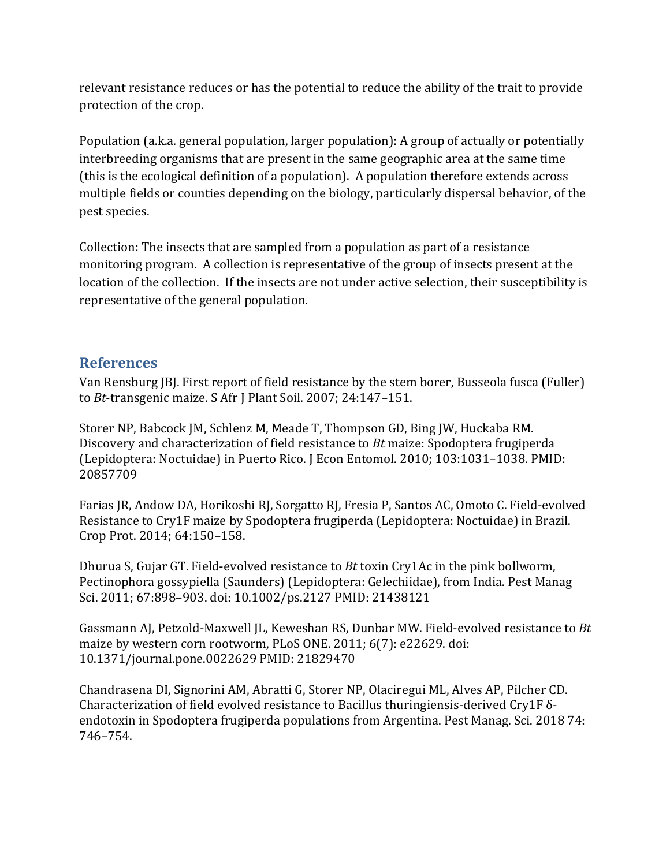relevant resistance reduces or has the potential to reduce the ability of the trait to provide protection of the crop.

Population (a.k.a. general population, larger population): A group of actually or potentially interbreeding organisms that are present in the same geographic area at the same time (this is the ecological definition of a population). A population therefore extends across multiple fields or counties depending on the biology, particularly dispersal behavior, of the pest species.

Collection: The insects that are sampled from a population as part of a resistance monitoring program. A collection is representative of the group of insects present at the location of the collection. If the insects are not under active selection, their susceptibility is representative of the general population.

## **References**

Van Rensburg [B]. First report of field resistance by the stem borer, Busseola fusca (Fuller) to *Bt*-transgenic maize. S Afr J Plant Soil. 2007; 24:147-151.

Storer NP, Babcock JM, Schlenz M, Meade T, Thompson GD, Bing JW, Huckaba RM. Discovery and characterization of field resistance to *Bt* maize: Spodoptera frugiperda (Lepidoptera: Noctuidae) in Puerto Rico. J Econ Entomol. 2010; 103:1031-1038. PMID: 20857709

Farias JR, Andow DA, Horikoshi RJ, Sorgatto RJ, Fresia P, Santos AC, Omoto C. Field-evolved Resistance to Cry1F maize by Spodoptera frugiperda (Lepidoptera: Noctuidae) in Brazil. Crop Prot. 2014; 64:150-158.

Dhurua S, Gujar GT. Field-evolved resistance to *Bt* toxin Cry1Ac in the pink bollworm, Pectinophora gossypiella (Saunders) (Lepidoptera: Gelechiidae), from India. Pest Manag Sci. 2011; 67:898-903. doi: 10.1002/ps.2127 PMID: 21438121

Gassmann AJ, Petzold-Maxwell JL, Keweshan RS, Dunbar MW. Field-evolved resistance to *Bt* maize by western corn rootworm, PLoS ONE. 2011; 6(7): e22629. doi: 10.1371/journal.pone.0022629 PMID: 21829470

Chandrasena DI, Signorini AM, Abratti G, Storer NP, Olaciregui ML, Alves AP, Pilcher CD. Characterization of field evolved resistance to Bacillus thuringiensis-derived Cry1F  $\delta$ endotoxin in Spodoptera frugiperda populations from Argentina. Pest Manag. Sci. 2018 74: 746–754.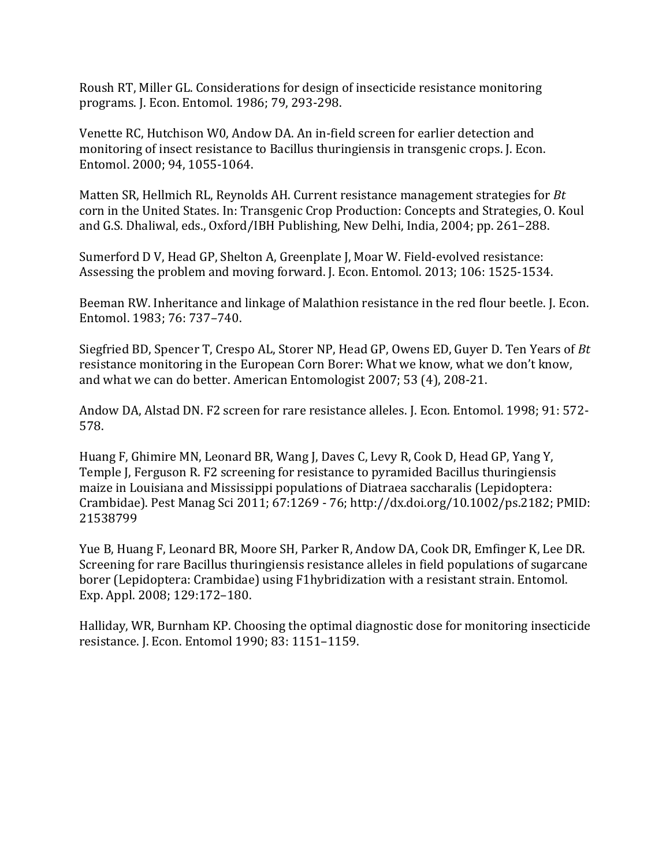Roush RT, Miller GL. Considerations for design of insecticide resistance monitoring programs. J. Econ. Entomol. 1986; 79, 293-298.

Venette RC, Hutchison W0, Andow DA. An in-field screen for earlier detection and monitoring of insect resistance to Bacillus thuringiensis in transgenic crops. J. Econ. Entomol. 2000; 94, 1055-1064.

Matten SR, Hellmich RL, Reynolds AH. Current resistance management strategies for *Bt* corn in the United States. In: Transgenic Crop Production: Concepts and Strategies, O. Koul and G.S. Dhaliwal, eds., Oxford/IBH Publishing, New Delhi, India, 2004; pp. 261–288.

Sumerford D V, Head GP, Shelton A, Greenplate J, Moar W. Field-evolved resistance: Assessing the problem and moving forward. J. Econ. Entomol. 2013; 106: 1525-1534.

Beeman RW. Inheritance and linkage of Malathion resistance in the red flour beetle. J. Econ. Entomol. 1983; 76: 737-740.

Siegfried BD, Spencer T, Crespo AL, Storer NP, Head GP, Owens ED, Guyer D. Ten Years of *Bt* resistance monitoring in the European Corn Borer: What we know, what we don't know, and what we can do better. American Entomologist 2007; 53 (4), 208-21.

Andow DA, Alstad DN. F2 screen for rare resistance alleles. J. Econ. Entomol. 1998; 91: 572-578.

Huang F, Ghimire MN, Leonard BR, Wang J, Daves C, Levy R, Cook D, Head GP, Yang Y, Temple J, Ferguson R. F2 screening for resistance to pyramided Bacillus thuringiensis maize in Louisiana and Mississippi populations of Diatraea saccharalis (Lepidoptera: Crambidae). Pest Manag Sci 2011; 67:1269 - 76; http://dx.doi.org/10.1002/ps.2182; PMID: 21538799

Yue B, Huang F, Leonard BR, Moore SH, Parker R, Andow DA, Cook DR, Emfinger K, Lee DR. Screening for rare Bacillus thuringiensis resistance alleles in field populations of sugarcane borer (Lepidoptera: Crambidae) using F1hybridization with a resistant strain. Entomol. Exp. Appl. 2008; 129:172-180.

Halliday, WR, Burnham KP. Choosing the optimal diagnostic dose for monitoring insecticide resistance. J. Econ. Entomol 1990; 83: 1151–1159.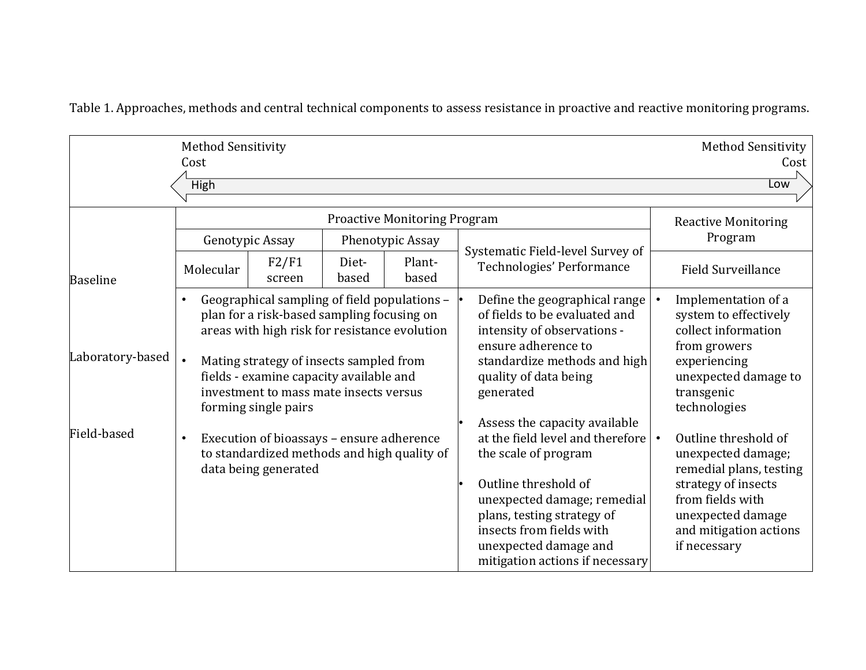Table 1. Approaches, methods and central technical components to assess resistance in proactive and reactive monitoring programs.

|                  | <b>Method Sensitivity</b><br>Cost<br><b>High</b>                                                                                                                                                                                                                                                                 |                 |                |                                                                                                                                                                                                                                                                        |                                                                                                                                                                                            |                                                                                                                                                                                 |                                       | <b>Method Sensitivity</b><br>Cost<br>Low                                                                                                                  |  |
|------------------|------------------------------------------------------------------------------------------------------------------------------------------------------------------------------------------------------------------------------------------------------------------------------------------------------------------|-----------------|----------------|------------------------------------------------------------------------------------------------------------------------------------------------------------------------------------------------------------------------------------------------------------------------|--------------------------------------------------------------------------------------------------------------------------------------------------------------------------------------------|---------------------------------------------------------------------------------------------------------------------------------------------------------------------------------|---------------------------------------|-----------------------------------------------------------------------------------------------------------------------------------------------------------|--|
|                  | <b>Proactive Monitoring Program</b><br>Phenotypic Assay<br>Genotypic Assay                                                                                                                                                                                                                                       |                 |                |                                                                                                                                                                                                                                                                        |                                                                                                                                                                                            | Systematic Field-level Survey of                                                                                                                                                | <b>Reactive Monitoring</b><br>Program |                                                                                                                                                           |  |
| <b>Baseline</b>  | Molecular                                                                                                                                                                                                                                                                                                        | F2/F1<br>screen | Diet-<br>based | Plant-<br>based                                                                                                                                                                                                                                                        |                                                                                                                                                                                            | Technologies' Performance                                                                                                                                                       |                                       | <b>Field Surveillance</b>                                                                                                                                 |  |
| Laboratory-based | Geographical sampling of field populations -<br>$\bullet$<br>plan for a risk-based sampling focusing on<br>areas with high risk for resistance evolution<br>Mating strategy of insects sampled from<br>fields - examine capacity available and<br>investment to mass mate insects versus<br>forming single pairs |                 |                |                                                                                                                                                                                                                                                                        | Define the geographical range<br>of fields to be evaluated and<br>intensity of observations -<br>ensure adherence to<br>standardize methods and high<br>quality of data being<br>generated |                                                                                                                                                                                 |                                       | Implementation of a<br>system to effectively<br>collect information<br>from growers<br>experiencing<br>unexpected damage to<br>transgenic<br>technologies |  |
| Field-based      | Execution of bioassays - ensure adherence<br>$\bullet$<br>to standardized methods and high quality of<br>data being generated                                                                                                                                                                                    |                 |                | Assess the capacity available<br>at the field level and therefore<br>the scale of program<br>Outline threshold of<br>unexpected damage; remedial<br>plans, testing strategy of<br>insects from fields with<br>unexpected damage and<br>mitigation actions if necessary | $\bullet$                                                                                                                                                                                  | Outline threshold of<br>unexpected damage;<br>remedial plans, testing<br>strategy of insects<br>from fields with<br>unexpected damage<br>and mitigation actions<br>if necessary |                                       |                                                                                                                                                           |  |